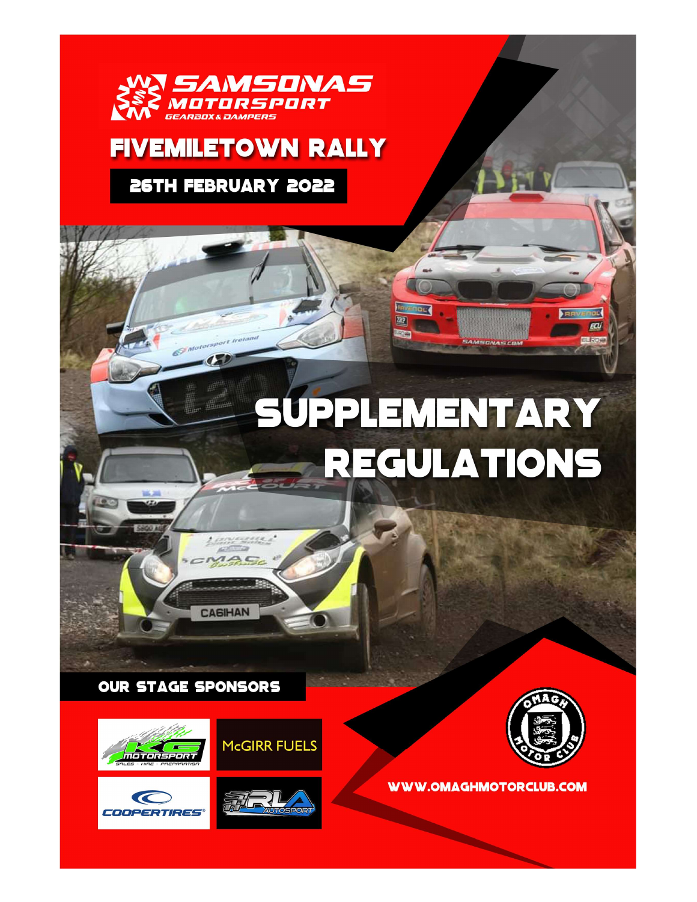

# **FIVEMILETOWN RALLY**

26TH FEBRUARY 2022

# SUPPLEMENTARY **REGULATIONS**

**TRP** 

**OUR STAGE SPONSORS** 







**McGIRR FUELS** 

<u>as de la partidad de</u>

**CASIHAN** 



ECU EL RODA

**WWW.OMAGHMOTORCLUB.COM** 

**REAL PROPERTY**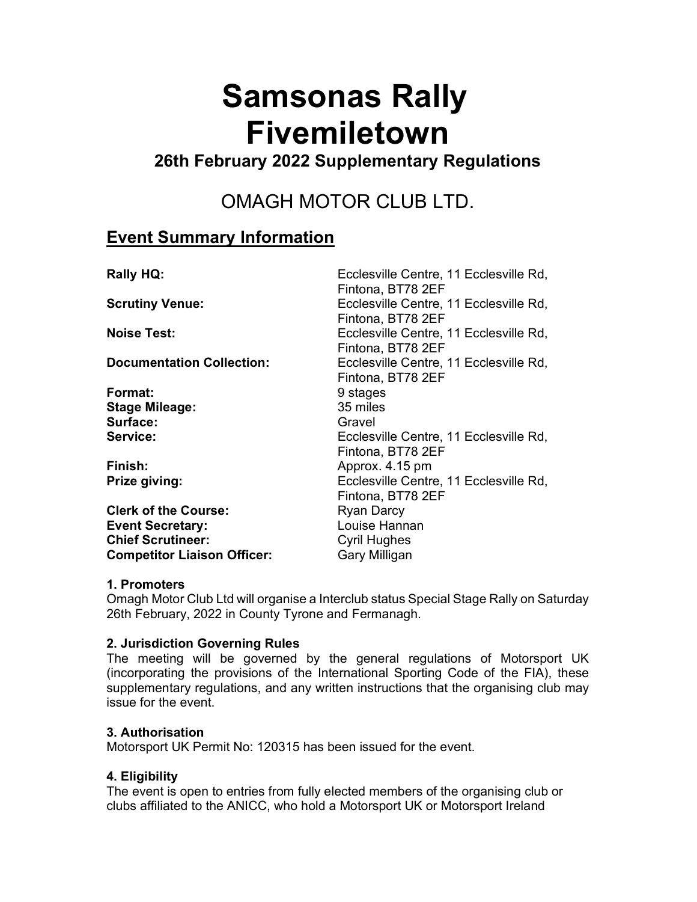# Samsonas Rally Fivemiletown

### 26th February 2022 Supplementary Regulations

## OMAGH MOTOR CLUB LTD.

#### Event Summary Information

| <b>Rally HQ:</b>                   | Ecclesville Centre, 11 Ecclesville Rd,<br>Fintona, BT78 2EF |
|------------------------------------|-------------------------------------------------------------|
| <b>Scrutiny Venue:</b>             | Ecclesville Centre, 11 Ecclesville Rd,<br>Fintona, BT78 2EF |
| <b>Noise Test:</b>                 | Ecclesville Centre, 11 Ecclesville Rd,<br>Fintona, BT78 2EF |
| <b>Documentation Collection:</b>   | Ecclesville Centre, 11 Ecclesville Rd,<br>Fintona, BT78 2EF |
| Format:                            | 9 stages                                                    |
| <b>Stage Mileage:</b>              | 35 miles                                                    |
| Surface:                           | Gravel                                                      |
| Service:                           | Ecclesville Centre, 11 Ecclesville Rd,<br>Fintona, BT78 2EF |
| Finish:                            | Approx. 4.15 pm                                             |
| Prize giving:                      | Ecclesville Centre, 11 Ecclesville Rd,<br>Fintona, BT78 2EF |
| <b>Clerk of the Course:</b>        | <b>Ryan Darcy</b>                                           |
| <b>Event Secretary:</b>            | Louise Hannan                                               |
| <b>Chief Scrutineer:</b>           | <b>Cyril Hughes</b>                                         |
| <b>Competitor Liaison Officer:</b> | <b>Gary Milligan</b>                                        |

#### 1. Promoters

Omagh Motor Club Ltd will organise a Interclub status Special Stage Rally on Saturday 26th February, 2022 in County Tyrone and Fermanagh.

#### 2. Jurisdiction Governing Rules

The meeting will be governed by the general regulations of Motorsport UK (incorporating the provisions of the International Sporting Code of the FIA), these supplementary regulations, and any written instructions that the organising club may issue for the event.

#### 3. Authorisation

Motorsport UK Permit No: 120315 has been issued for the event.

#### 4. Eligibility

The event is open to entries from fully elected members of the organising club or clubs affiliated to the ANICC, who hold a Motorsport UK or Motorsport Ireland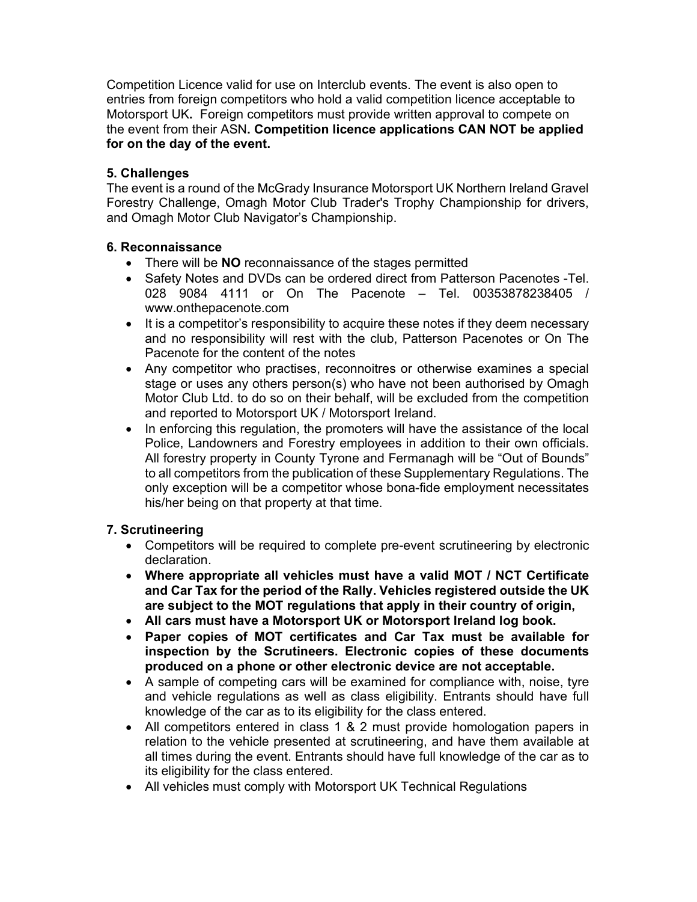Competition Licence valid for use on Interclub events. The event is also open to entries from foreign competitors who hold a valid competition licence acceptable to Motorsport UK. Foreign competitors must provide written approval to compete on the event from their ASN. Competition licence applications CAN NOT be applied for on the day of the event.

#### 5. Challenges

The event is a round of the McGrady Insurance Motorsport UK Northern Ireland Gravel Forestry Challenge, Omagh Motor Club Trader's Trophy Championship for drivers, and Omagh Motor Club Navigator's Championship.

#### 6. Reconnaissance

- There will be NO reconnaissance of the stages permitted
- Safety Notes and DVDs can be ordered direct from Patterson Pacenotes -Tel. 028 9084 4111 or On The Pacenote – Tel. 00353878238405 / www.onthepacenote.com
- It is a competitor's responsibility to acquire these notes if they deem necessary and no responsibility will rest with the club, Patterson Pacenotes or On The Pacenote for the content of the notes
- Any competitor who practises, reconnoitres or otherwise examines a special stage or uses any others person(s) who have not been authorised by Omagh Motor Club Ltd. to do so on their behalf, will be excluded from the competition and reported to Motorsport UK / Motorsport Ireland.
- In enforcing this regulation, the promoters will have the assistance of the local Police, Landowners and Forestry employees in addition to their own officials. All forestry property in County Tyrone and Fermanagh will be "Out of Bounds" to all competitors from the publication of these Supplementary Regulations. The only exception will be a competitor whose bona-fide employment necessitates his/her being on that property at that time.

#### 7. Scrutineering

- Competitors will be required to complete pre-event scrutineering by electronic declaration.
- Where appropriate all vehicles must have a valid MOT / NCT Certificate and Car Tax for the period of the Rally. Vehicles registered outside the UK are subject to the MOT regulations that apply in their country of origin,
- All cars must have a Motorsport UK or Motorsport Ireland log book.
- Paper copies of MOT certificates and Car Tax must be available for inspection by the Scrutineers. Electronic copies of these documents produced on a phone or other electronic device are not acceptable.
- A sample of competing cars will be examined for compliance with, noise, tyre and vehicle regulations as well as class eligibility. Entrants should have full knowledge of the car as to its eligibility for the class entered.
- All competitors entered in class 1 & 2 must provide homologation papers in relation to the vehicle presented at scrutineering, and have them available at all times during the event. Entrants should have full knowledge of the car as to its eligibility for the class entered.
- All vehicles must comply with Motorsport UK Technical Regulations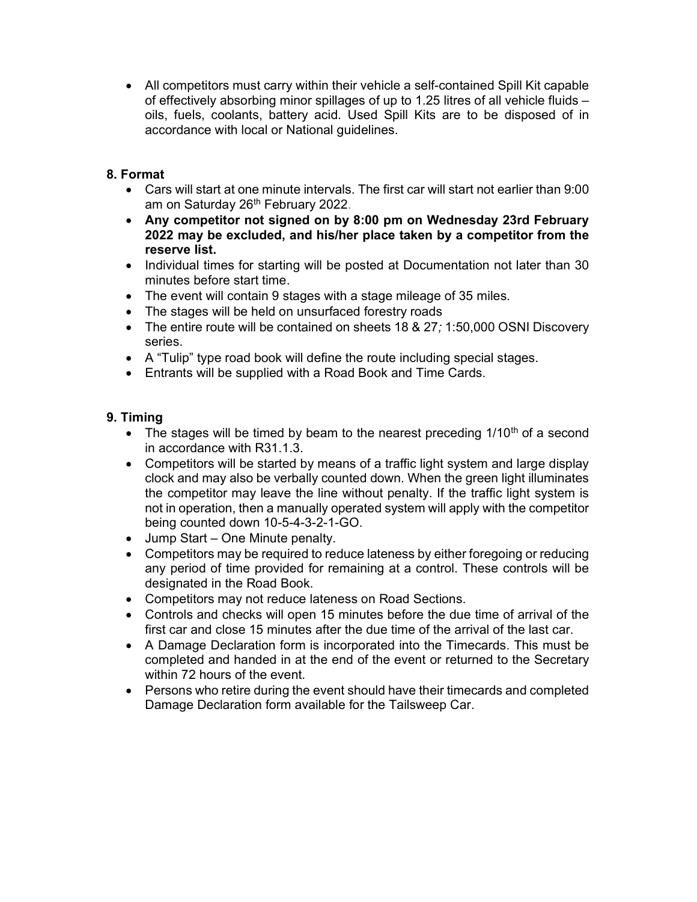All competitors must carry within their vehicle a self-contained Spill Kit capable of effectively absorbing minor spillages of up to 1.25 litres of all vehicle fluids – oils, fuels, coolants, battery acid. Used Spill Kits are to be disposed of in accordance with local or National guidelines.

#### 8. Format

- Cars will start at one minute intervals. The first car will start not earlier than 9:00 am on Saturday 26<sup>th</sup> February 2022.
- Any competitor not signed on by 8:00 pm on Wednesday 23rd February 2022 may be excluded, and his/her place taken by a competitor from the reserve list.
- Individual times for starting will be posted at Documentation not later than 30 minutes before start time.
- The event will contain 9 stages with a stage mileage of 35 miles.
- The stages will be held on unsurfaced forestry roads
- The entire route will be contained on sheets 18 & 27; 1:50,000 OSNI Discovery series.
- A "Tulip" type road book will define the route including special stages.
- Entrants will be supplied with a Road Book and Time Cards.

#### 9. Timing

- The stages will be timed by beam to the nearest preceding  $1/10<sup>th</sup>$  of a second in accordance with R31.1.3.
- Competitors will be started by means of a traffic light system and large display clock and may also be verbally counted down. When the green light illuminates the competitor may leave the line without penalty. If the traffic light system is not in operation, then a manually operated system will apply with the competitor being counted down 10-5-4-3-2-1-GO.
- Jump Start One Minute penalty.
- Competitors may be required to reduce lateness by either foregoing or reducing any period of time provided for remaining at a control. These controls will be designated in the Road Book.
- Competitors may not reduce lateness on Road Sections.
- Controls and checks will open 15 minutes before the due time of arrival of the first car and close 15 minutes after the due time of the arrival of the last car.
- A Damage Declaration form is incorporated into the Timecards. This must be completed and handed in at the end of the event or returned to the Secretary within 72 hours of the event.
- Persons who retire during the event should have their timecards and completed Damage Declaration form available for the Tailsweep Car.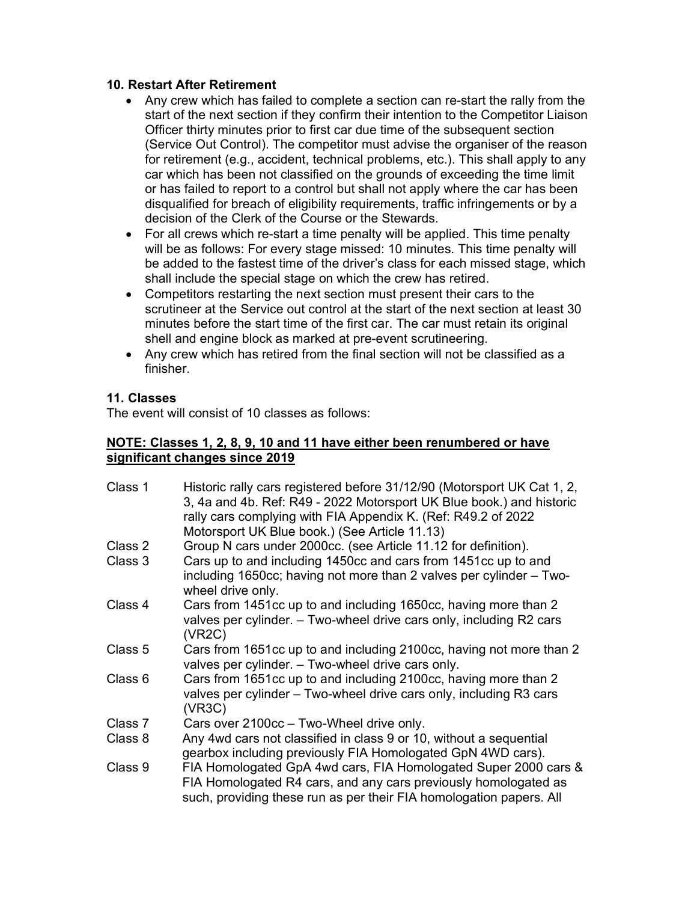#### 10. Restart After Retirement

- Any crew which has failed to complete a section can re-start the rally from the start of the next section if they confirm their intention to the Competitor Liaison Officer thirty minutes prior to first car due time of the subsequent section (Service Out Control). The competitor must advise the organiser of the reason for retirement (e.g., accident, technical problems, etc.). This shall apply to any car which has been not classified on the grounds of exceeding the time limit or has failed to report to a control but shall not apply where the car has been disqualified for breach of eligibility requirements, traffic infringements or by a decision of the Clerk of the Course or the Stewards.
- For all crews which re-start a time penalty will be applied. This time penalty will be as follows: For every stage missed: 10 minutes. This time penalty will be added to the fastest time of the driver's class for each missed stage, which shall include the special stage on which the crew has retired.
- Competitors restarting the next section must present their cars to the scrutineer at the Service out control at the start of the next section at least 30 minutes before the start time of the first car. The car must retain its original shell and engine block as marked at pre-event scrutineering.
- Any crew which has retired from the final section will not be classified as a finisher.

#### 11. Classes

The event will consist of 10 classes as follows:

#### NOTE: Classes 1, 2, 8, 9, 10 and 11 have either been renumbered or have significant changes since 2019

| Class 1 | Historic rally cars registered before 31/12/90 (Motorsport UK Cat 1, 2,<br>3, 4a and 4b. Ref: R49 - 2022 Motorsport UK Blue book.) and historic<br>rally cars complying with FIA Appendix K. (Ref: R49.2 of 2022<br>Motorsport UK Blue book.) (See Article 11.13) |
|---------|-------------------------------------------------------------------------------------------------------------------------------------------------------------------------------------------------------------------------------------------------------------------|
| Class 2 | Group N cars under 2000cc. (see Article 11.12 for definition).                                                                                                                                                                                                    |
| Class 3 | Cars up to and including 1450cc and cars from 1451cc up to and<br>including 1650cc; having not more than 2 valves per cylinder - Two-<br>wheel drive only.                                                                                                        |
| Class 4 | Cars from 1451cc up to and including 1650cc, having more than 2<br>valves per cylinder. - Two-wheel drive cars only, including R2 cars<br>(VR2C)                                                                                                                  |
| Class 5 | Cars from 1651cc up to and including 2100cc, having not more than 2<br>valves per cylinder. - Two-wheel drive cars only.                                                                                                                                          |
| Class 6 | Cars from 1651cc up to and including 2100cc, having more than 2<br>valves per cylinder – Two-wheel drive cars only, including R3 cars<br>(VR3C)                                                                                                                   |
| Class 7 | Cars over 2100cc - Two-Wheel drive only.                                                                                                                                                                                                                          |
| Class 8 | Any 4wd cars not classified in class 9 or 10, without a sequential<br>gearbox including previously FIA Homologated GpN 4WD cars).                                                                                                                                 |
| Class 9 | FIA Homologated GpA 4wd cars, FIA Homologated Super 2000 cars &<br>FIA Homologated R4 cars, and any cars previously homologated as<br>such, providing these run as per their FIA homologation papers. All                                                         |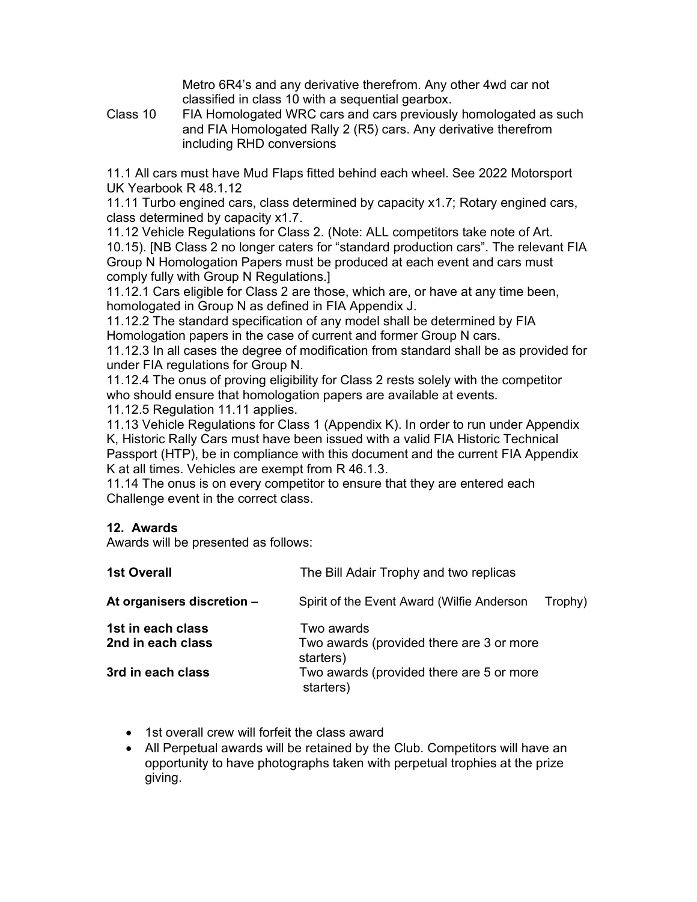Metro 6R4's and any derivative therefrom. Any other 4wd car not classified in class 10 with a sequential gearbox.

Class 10 FIA Homologated WRC cars and cars previously homologated as such and FIA Homologated Rally 2 (R5) cars. Any derivative therefrom including RHD conversions

11.1 All cars must have Mud Flaps fitted behind each wheel. See 2022 Motorsport UK Yearbook R 48.1.12

11.11 Turbo engined cars, class determined by capacity x1.7; Rotary engined cars, class determined by capacity x1.7.

11.12 Vehicle Regulations for Class 2. (Note: ALL competitors take note of Art. 10.15). [NB Class 2 no longer caters for "standard production cars". The relevant FIA Group N Homologation Papers must be produced at each event and cars must comply fully with Group N Regulations.]

11.12.1 Cars eligible for Class 2 are those, which are, or have at any time been, homologated in Group N as defined in FIA Appendix J.

11.12.2 The standard specification of any model shall be determined by FIA Homologation papers in the case of current and former Group N cars.

11.12.3 In all cases the degree of modification from standard shall be as provided for under FIA regulations for Group N.

11.12.4 The onus of proving eligibility for Class 2 rests solely with the competitor who should ensure that homologation papers are available at events.

11.12.5 Regulation 11.11 applies.

11.13 Vehicle Regulations for Class 1 (Appendix K). In order to run under Appendix K, Historic Rally Cars must have been issued with a valid FIA Historic Technical Passport (HTP), be in compliance with this document and the current FIA Appendix K at all times. Vehicles are exempt from R 46.1.3.

11.14 The onus is on every competitor to ensure that they are entered each Challenge event in the correct class.

#### 12. Awards

Awards will be presented as follows:

| <b>1st Overall</b>                     | The Bill Adair Trophy and two replicas                              |
|----------------------------------------|---------------------------------------------------------------------|
| At organisers discretion -             | Spirit of the Event Award (Wilfie Anderson<br>Trophy)               |
| 1st in each class<br>2nd in each class | Two awards<br>Two awards (provided there are 3 or more<br>starters) |
| 3rd in each class                      | Two awards (provided there are 5 or more<br>starters)               |

- 1st overall crew will forfeit the class award
- All Perpetual awards will be retained by the Club. Competitors will have an opportunity to have photographs taken with perpetual trophies at the prize giving.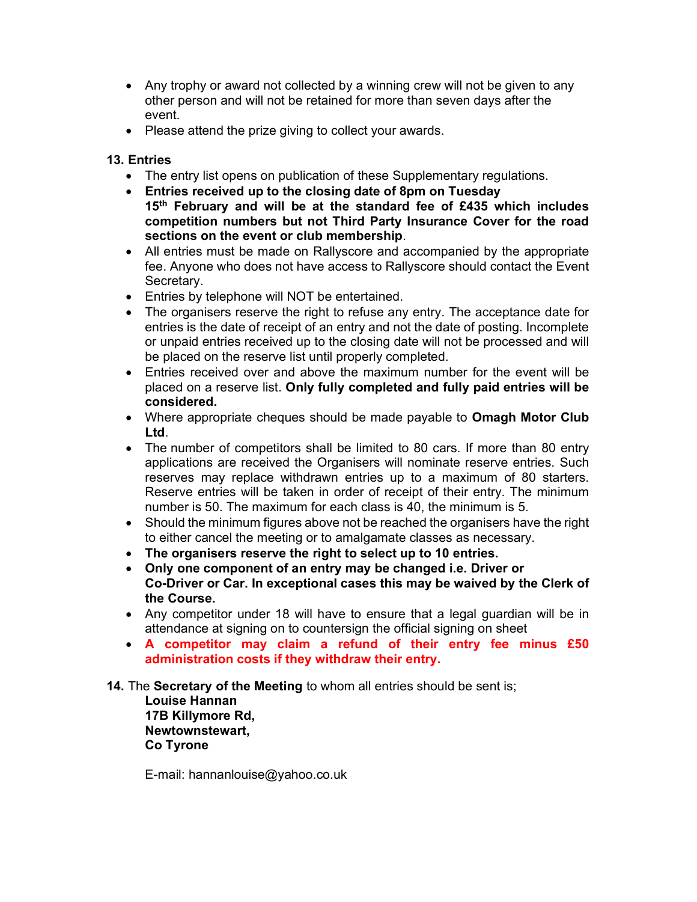- Any trophy or award not collected by a winning crew will not be given to any other person and will not be retained for more than seven days after the event.
- Please attend the prize giving to collect your awards.

#### 13. Entries

- The entry list opens on publication of these Supplementary regulations.
- Entries received up to the closing date of 8pm on Tuesday 15<sup>th</sup> February and will be at the standard fee of £435 which includes competition numbers but not Third Party Insurance Cover for the road sections on the event or club membership.
- All entries must be made on Rallyscore and accompanied by the appropriate fee. Anyone who does not have access to Rallyscore should contact the Event Secretary.
- Entries by telephone will NOT be entertained.
- The organisers reserve the right to refuse any entry. The acceptance date for entries is the date of receipt of an entry and not the date of posting. Incomplete or unpaid entries received up to the closing date will not be processed and will be placed on the reserve list until properly completed.
- Entries received over and above the maximum number for the event will be placed on a reserve list. Only fully completed and fully paid entries will be considered.
- Where appropriate cheques should be made payable to **Omagh Motor Club** Ltd.
- The number of competitors shall be limited to 80 cars. If more than 80 entry applications are received the Organisers will nominate reserve entries. Such reserves may replace withdrawn entries up to a maximum of 80 starters. Reserve entries will be taken in order of receipt of their entry. The minimum number is 50. The maximum for each class is 40, the minimum is 5.
- Should the minimum figures above not be reached the organisers have the right to either cancel the meeting or to amalgamate classes as necessary.
- The organisers reserve the right to select up to 10 entries.
- Only one component of an entry may be changed i.e. Driver or Co-Driver or Car. In exceptional cases this may be waived by the Clerk of the Course.
- Any competitor under 18 will have to ensure that a legal guardian will be in attendance at signing on to countersign the official signing on sheet
- A competitor may claim a refund of their entry fee minus £50 administration costs if they withdraw their entry.
- 14. The Secretary of the Meeting to whom all entries should be sent is;

 Louise Hannan 17B Killymore Rd, Newtownstewart, Co Tyrone

E-mail: hannanlouise@yahoo.co.uk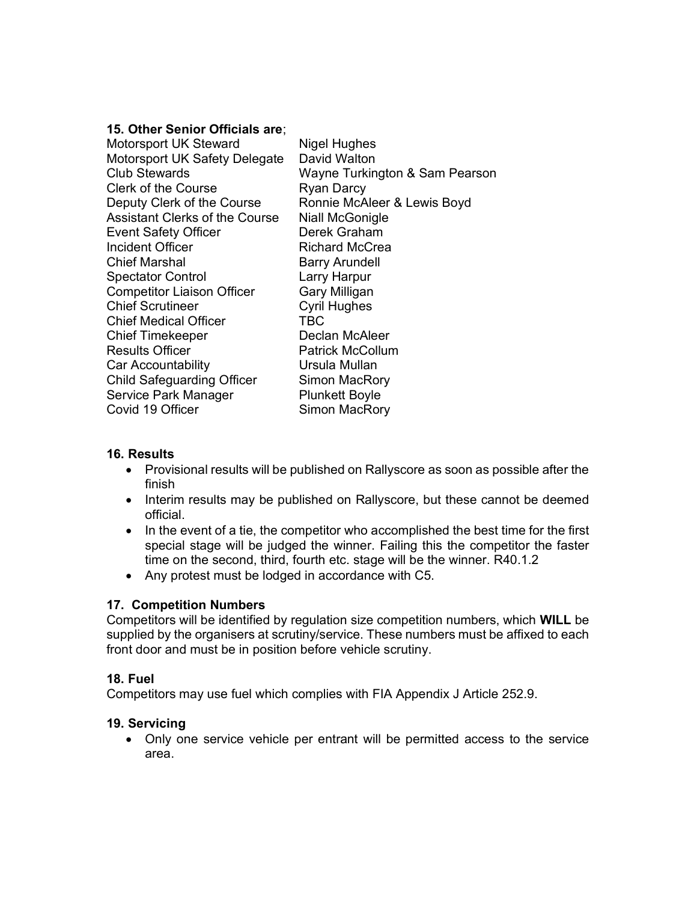#### 15. Other Senior Officials are;

| <b>Motorsport UK Steward</b>          | <b>Nigel Hughes</b>            |
|---------------------------------------|--------------------------------|
| Motorsport UK Safety Delegate         | David Walton                   |
| Club Stewards                         | Wayne Turkington & Sam Pearson |
| Clerk of the Course                   | <b>Ryan Darcy</b>              |
| Deputy Clerk of the Course            | Ronnie McAleer & Lewis Boyd    |
| <b>Assistant Clerks of the Course</b> | <b>Niall McGonigle</b>         |
| <b>Event Safety Officer</b>           | Derek Graham                   |
| Incident Officer                      | Richard McCrea                 |
| <b>Chief Marshal</b>                  | <b>Barry Arundell</b>          |
| <b>Spectator Control</b>              | Larry Harpur                   |
| <b>Competitor Liaison Officer</b>     | Gary Milligan                  |
| <b>Chief Scrutineer</b>               | <b>Cyril Hughes</b>            |
| <b>Chief Medical Officer</b>          | <b>TBC</b>                     |
| <b>Chief Timekeeper</b>               | Declan McAleer                 |
| <b>Results Officer</b>                | <b>Patrick McCollum</b>        |
| Car Accountability                    | Ursula Mullan                  |
| <b>Child Safeguarding Officer</b>     | Simon MacRory                  |
| Service Park Manager                  | <b>Plunkett Boyle</b>          |
| Covid 19 Officer                      | Simon MacRory                  |

#### 16. Results

- Provisional results will be published on Rallyscore as soon as possible after the finish
- Interim results may be published on Rallyscore, but these cannot be deemed official.
- In the event of a tie, the competitor who accomplished the best time for the first special stage will be judged the winner. Failing this the competitor the faster time on the second, third, fourth etc. stage will be the winner. R40.1.2
- Any protest must be lodged in accordance with C5.

#### 17. Competition Numbers

Competitors will be identified by regulation size competition numbers, which WILL be supplied by the organisers at scrutiny/service. These numbers must be affixed to each front door and must be in position before vehicle scrutiny.

#### 18. Fuel

Competitors may use fuel which complies with FIA Appendix J Article 252.9.

#### 19. Servicing

 Only one service vehicle per entrant will be permitted access to the service area.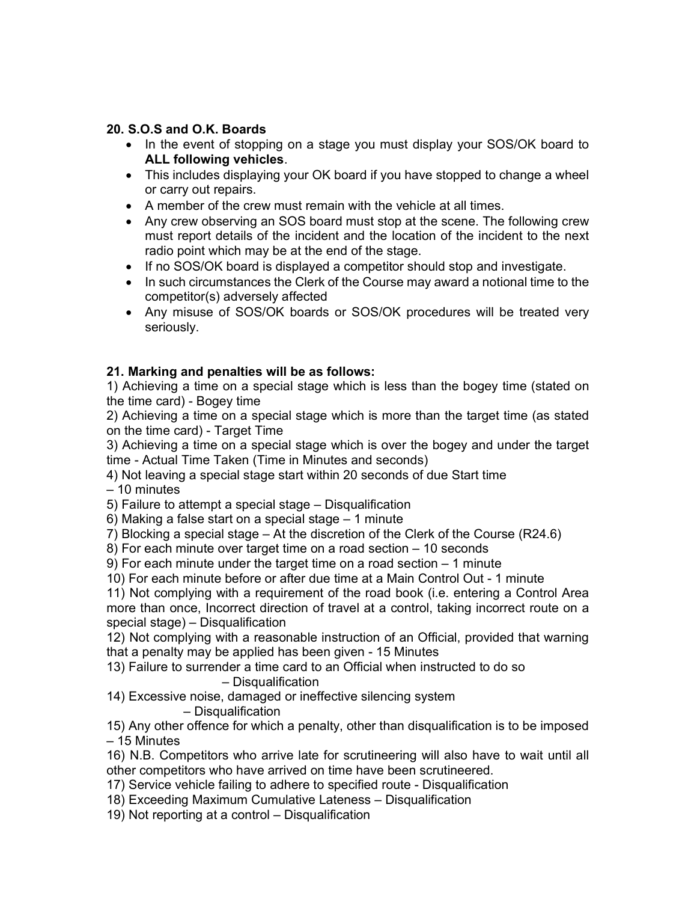#### 20. S.O.S and O.K. Boards

- In the event of stopping on a stage you must display your SOS/OK board to ALL following vehicles.
- This includes displaying your OK board if you have stopped to change a wheel or carry out repairs.
- A member of the crew must remain with the vehicle at all times.
- Any crew observing an SOS board must stop at the scene. The following crew must report details of the incident and the location of the incident to the next radio point which may be at the end of the stage.
- If no SOS/OK board is displayed a competitor should stop and investigate.
- In such circumstances the Clerk of the Course may award a notional time to the competitor(s) adversely affected
- Any misuse of SOS/OK boards or SOS/OK procedures will be treated very seriously.

#### 21. Marking and penalties will be as follows:

1) Achieving a time on a special stage which is less than the bogey time (stated on the time card) - Bogey time

2) Achieving a time on a special stage which is more than the target time (as stated on the time card) - Target Time

3) Achieving a time on a special stage which is over the bogey and under the target time - Actual Time Taken (Time in Minutes and seconds)

4) Not leaving a special stage start within 20 seconds of due Start time

– 10 minutes

5) Failure to attempt a special stage – Disqualification

6) Making a false start on a special stage – 1 minute

7) Blocking a special stage – At the discretion of the Clerk of the Course (R24.6)

8) For each minute over target time on a road section – 10 seconds

9) For each minute under the target time on a road section – 1 minute

10) For each minute before or after due time at a Main Control Out - 1 minute

11) Not complying with a requirement of the road book (i.e. entering a Control Area more than once, Incorrect direction of travel at a control, taking incorrect route on a special stage) – Disqualification

12) Not complying with a reasonable instruction of an Official, provided that warning that a penalty may be applied has been given - 15 Minutes

13) Failure to surrender a time card to an Official when instructed to do so – Disqualification

14) Excessive noise, damaged or ineffective silencing system

#### – Disqualification

15) Any other offence for which a penalty, other than disqualification is to be imposed – 15 Minutes

16) N.B. Competitors who arrive late for scrutineering will also have to wait until all other competitors who have arrived on time have been scrutineered.

17) Service vehicle failing to adhere to specified route - Disqualification

18) Exceeding Maximum Cumulative Lateness – Disqualification

19) Not reporting at a control – Disqualification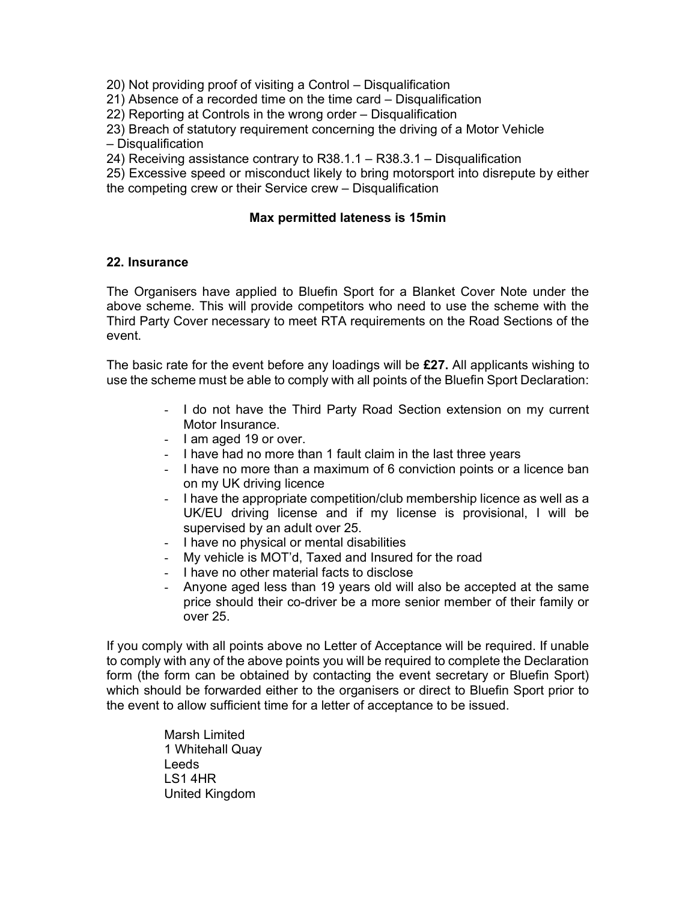20) Not providing proof of visiting a Control – Disqualification

21) Absence of a recorded time on the time card – Disqualification

22) Reporting at Controls in the wrong order – Disqualification

23) Breach of statutory requirement concerning the driving of a Motor Vehicle

– Disqualification

24) Receiving assistance contrary to R38.1.1 – R38.3.1 – Disqualification

25) Excessive speed or misconduct likely to bring motorsport into disrepute by either

the competing crew or their Service crew – Disqualification

#### Max permitted lateness is 15min

#### 22. Insurance

The Organisers have applied to Bluefin Sport for a Blanket Cover Note under the above scheme. This will provide competitors who need to use the scheme with the Third Party Cover necessary to meet RTA requirements on the Road Sections of the event.

The basic rate for the event before any loadings will be  $£27$ . All applicants wishing to use the scheme must be able to comply with all points of the Bluefin Sport Declaration:

- I do not have the Third Party Road Section extension on my current Motor Insurance.
- I am aged 19 or over.
- I have had no more than 1 fault claim in the last three years
- I have no more than a maximum of 6 conviction points or a licence ban on my UK driving licence
- I have the appropriate competition/club membership licence as well as a UK/EU driving license and if my license is provisional, I will be supervised by an adult over 25.
- I have no physical or mental disabilities
- My vehicle is MOT'd, Taxed and Insured for the road
- I have no other material facts to disclose
- Anyone aged less than 19 years old will also be accepted at the same price should their co-driver be a more senior member of their family or over 25.

If you comply with all points above no Letter of Acceptance will be required. If unable to comply with any of the above points you will be required to complete the Declaration form (the form can be obtained by contacting the event secretary or Bluefin Sport) which should be forwarded either to the organisers or direct to Bluefin Sport prior to the event to allow sufficient time for a letter of acceptance to be issued.

> Marsh Limited 1 Whitehall Quay Leeds LS1 4HR United Kingdom